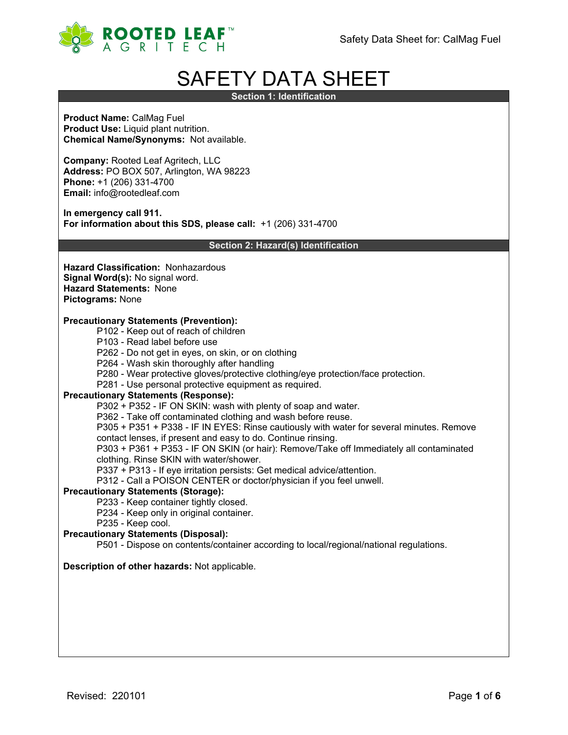

# SAFETY DATA SHEET

**Section 1: Identification**

**Product Name:** CalMag Fuel **Product Use:** Liquid plant nutrition. **Chemical Name/Synonyms:** Not available.

**Company:** Rooted Leaf Agritech, LLC **Address:** PO BOX 507, Arlington, WA 98223 **Phone:** +1 (206) 331-4700 **Email:** info@rootedleaf.com

**In emergency call 911. For information about this SDS, please call:** +1 (206) 331-4700

**Section 2: Hazard(s) Identification**

**Hazard Classification:** Nonhazardous **Signal Word(s):** No signal word. **Hazard Statements:** None **Pictograms:** None

## **Precautionary Statements (Prevention):**

- P102 Keep out of reach of children
- P103 Read label before use
- P262 Do not get in eyes, on skin, or on clothing
- P264 Wash skin thoroughly after handling
- P280 Wear protective gloves/protective clothing/eye protection/face protection.
- P281 Use personal protective equipment as required.

## **Precautionary Statements (Response):**

P302 + P352 - IF ON SKIN: wash with plenty of soap and water.

P362 - Take off contaminated clothing and wash before reuse.

P305 + P351 + P338 - IF IN EYES: Rinse cautiously with water for several minutes. Remove

contact lenses, if present and easy to do. Continue rinsing.

P303 + P361 + P353 - IF ON SKIN (or hair): Remove/Take off Immediately all contaminated clothing. Rinse SKIN with water/shower.

P337 + P313 - If eye irritation persists: Get medical advice/attention.

P312 - Call a POISON CENTER or doctor/physician if you feel unwell.

#### **Precautionary Statements (Storage):**

P233 - Keep container tightly closed.

- P234 Keep only in original container.
- P235 Keep cool.

# **Precautionary Statements (Disposal):**

P501 - Dispose on contents/container according to local/regional/national regulations.

## **Description of other hazards:** Not applicable.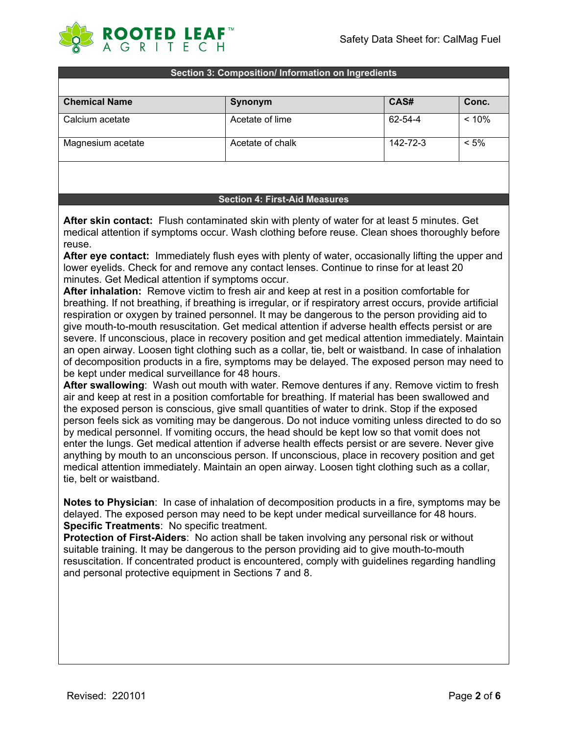

#### **Section 3: Composition/ Information on Ingredients**

| <b>Chemical Name</b> | Synonym          | CAS#     | Conc.    |
|----------------------|------------------|----------|----------|
| Calcium acetate      | Acetate of lime  | 62-54-4  | $< 10\%$ |
| Magnesium acetate    | Acetate of chalk | 142-72-3 | $< 5\%$  |

## **Section 4: First-Aid Measures**

**After skin contact:** Flush contaminated skin with plenty of water for at least 5 minutes. Get medical attention if symptoms occur. Wash clothing before reuse. Clean shoes thoroughly before reuse.

**After eye contact:** Immediately flush eyes with plenty of water, occasionally lifting the upper and lower eyelids. Check for and remove any contact lenses. Continue to rinse for at least 20 minutes. Get Medical attention if symptoms occur.

**After inhalation:** Remove victim to fresh air and keep at rest in a position comfortable for breathing. If not breathing, if breathing is irregular, or if respiratory arrest occurs, provide artificial respiration or oxygen by trained personnel. It may be dangerous to the person providing aid to give mouth-to-mouth resuscitation. Get medical attention if adverse health effects persist or are severe. If unconscious, place in recovery position and get medical attention immediately. Maintain an open airway. Loosen tight clothing such as a collar, tie, belt or waistband. In case of inhalation of decomposition products in a fire, symptoms may be delayed. The exposed person may need to be kept under medical surveillance for 48 hours.

**After swallowing**: Wash out mouth with water. Remove dentures if any. Remove victim to fresh air and keep at rest in a position comfortable for breathing. If material has been swallowed and the exposed person is conscious, give small quantities of water to drink. Stop if the exposed person feels sick as vomiting may be dangerous. Do not induce vomiting unless directed to do so by medical personnel. If vomiting occurs, the head should be kept low so that vomit does not enter the lungs. Get medical attention if adverse health effects persist or are severe. Never give anything by mouth to an unconscious person. If unconscious, place in recovery position and get medical attention immediately. Maintain an open airway. Loosen tight clothing such as a collar, tie, belt or waistband.

**Notes to Physician**: In case of inhalation of decomposition products in a fire, symptoms may be delayed. The exposed person may need to be kept under medical surveillance for 48 hours. **Specific Treatments**: No specific treatment.

**Protection of First-Aiders**: No action shall be taken involving any personal risk or without suitable training. It may be dangerous to the person providing aid to give mouth-to-mouth resuscitation. If concentrated product is encountered, comply with guidelines regarding handling and personal protective equipment in Sections 7 and 8.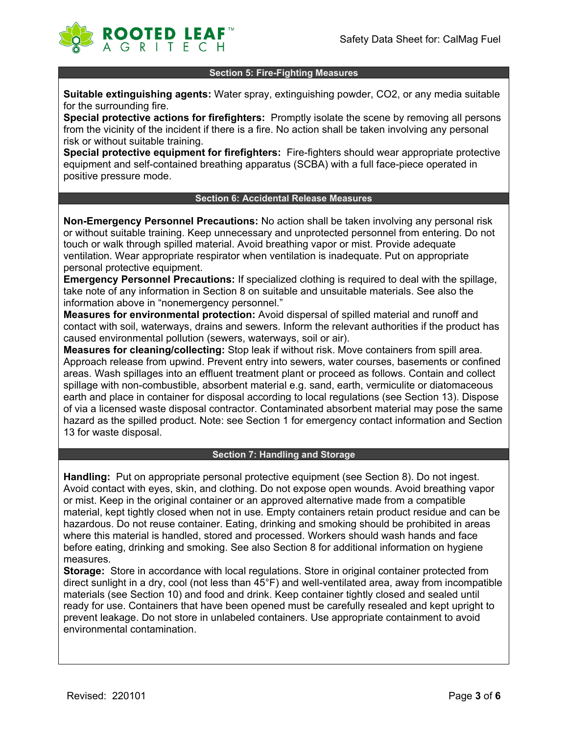

## **Section 5: Fire-Fighting Measures**

**Suitable extinguishing agents:** Water spray, extinguishing powder, CO2, or any media suitable for the surrounding fire.

**Special protective actions for firefighters:** Promptly isolate the scene by removing all persons from the vicinity of the incident if there is a fire. No action shall be taken involving any personal risk or without suitable training.

**Special protective equipment for firefighters:** Fire-fighters should wear appropriate protective equipment and self-contained breathing apparatus (SCBA) with a full face-piece operated in positive pressure mode.

## **Section 6: Accidental Release Measures**

**Non-Emergency Personnel Precautions:** No action shall be taken involving any personal risk or without suitable training. Keep unnecessary and unprotected personnel from entering. Do not touch or walk through spilled material. Avoid breathing vapor or mist. Provide adequate ventilation. Wear appropriate respirator when ventilation is inadequate. Put on appropriate personal protective equipment.

**Emergency Personnel Precautions:** If specialized clothing is required to deal with the spillage, take note of any information in Section 8 on suitable and unsuitable materials. See also the information above in "nonemergency personnel."

**Measures for environmental protection:** Avoid dispersal of spilled material and runoff and contact with soil, waterways, drains and sewers. Inform the relevant authorities if the product has caused environmental pollution (sewers, waterways, soil or air).

**Measures for cleaning/collecting:** Stop leak if without risk. Move containers from spill area. Approach release from upwind. Prevent entry into sewers, water courses, basements or confined areas. Wash spillages into an effluent treatment plant or proceed as follows. Contain and collect spillage with non-combustible, absorbent material e.g. sand, earth, vermiculite or diatomaceous earth and place in container for disposal according to local regulations (see Section 13). Dispose of via a licensed waste disposal contractor. Contaminated absorbent material may pose the same hazard as the spilled product. Note: see Section 1 for emergency contact information and Section 13 for waste disposal.

## **Section 7: Handling and Storage**

**Handling:** Put on appropriate personal protective equipment (see Section 8). Do not ingest. Avoid contact with eyes, skin, and clothing. Do not expose open wounds. Avoid breathing vapor or mist. Keep in the original container or an approved alternative made from a compatible material, kept tightly closed when not in use. Empty containers retain product residue and can be hazardous. Do not reuse container. Eating, drinking and smoking should be prohibited in areas where this material is handled, stored and processed. Workers should wash hands and face before eating, drinking and smoking. See also Section 8 for additional information on hygiene measures.

**Storage:** Store in accordance with local regulations. Store in original container protected from direct sunlight in a dry, cool (not less than 45°F) and well-ventilated area, away from incompatible materials (see Section 10) and food and drink. Keep container tightly closed and sealed until ready for use. Containers that have been opened must be carefully resealed and kept upright to prevent leakage. Do not store in unlabeled containers. Use appropriate containment to avoid environmental contamination.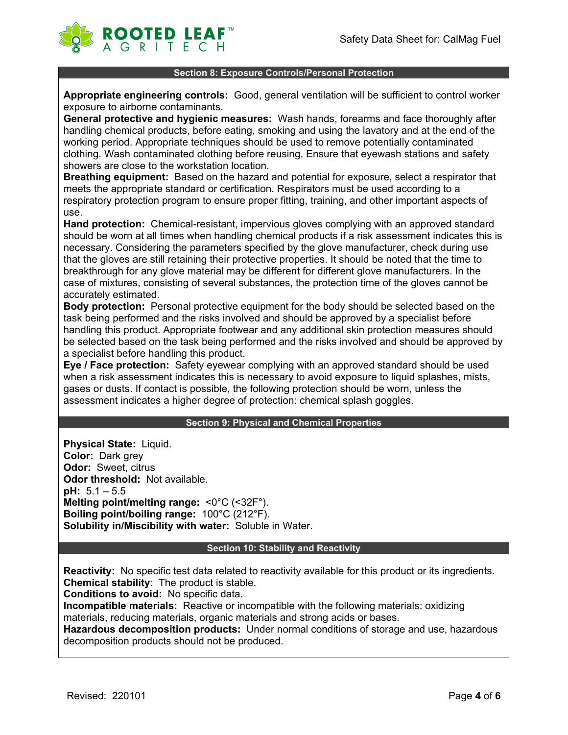

## **Section 8: Exposure Controls/Personal Protection**

**Appropriate engineering controls:** Good, general ventilation will be sufficient to control worker exposure to airborne contaminants.

**General protective and hygienic measures:** Wash hands, forearms and face thoroughly after handling chemical products, before eating, smoking and using the lavatory and at the end of the working period. Appropriate techniques should be used to remove potentially contaminated clothing. Wash contaminated clothing before reusing. Ensure that eyewash stations and safety showers are close to the workstation location.

**Breathing equipment:** Based on the hazard and potential for exposure, select a respirator that meets the appropriate standard or certification. Respirators must be used according to a respiratory protection program to ensure proper fitting, training, and other important aspects of use.

**Hand protection:** Chemical-resistant, impervious gloves complying with an approved standard should be worn at all times when handling chemical products if a risk assessment indicates this is necessary. Considering the parameters specified by the glove manufacturer, check during use that the gloves are still retaining their protective properties. It should be noted that the time to breakthrough for any glove material may be different for different glove manufacturers. In the case of mixtures, consisting of several substances, the protection time of the gloves cannot be accurately estimated.

**Body protection:** Personal protective equipment for the body should be selected based on the task being performed and the risks involved and should be approved by a specialist before handling this product. Appropriate footwear and any additional skin protection measures should be selected based on the task being performed and the risks involved and should be approved by a specialist before handling this product.

**Eye / Face protection:** Safety eyewear complying with an approved standard should be used when a risk assessment indicates this is necessary to avoid exposure to liquid splashes, mists, gases or dusts. If contact is possible, the following protection should be worn, unless the assessment indicates a higher degree of protection: chemical splash goggles.

## **Section 9: Physical and Chemical Properties**

**Physical State:** Liquid. **Color:** Dark grey **Odor:** Sweet, citrus **Odor threshold:** Not available. **pH:** 5.1 – 5.5 **Melting point/melting range:** <0°C (<32F°). **Boiling point/boiling range:** 100°C (212°F). **Solubility in/Miscibility with water:** Soluble in Water.

## **Section 10: Stability and Reactivity**

**Reactivity:** No specific test data related to reactivity available for this product or its ingredients. **Chemical stability**: The product is stable.

**Conditions to avoid:** No specific data.

**Incompatible materials:** Reactive or incompatible with the following materials: oxidizing materials, reducing materials, organic materials and strong acids or bases.

**Hazardous decomposition products:** Under normal conditions of storage and use, hazardous decomposition products should not be produced.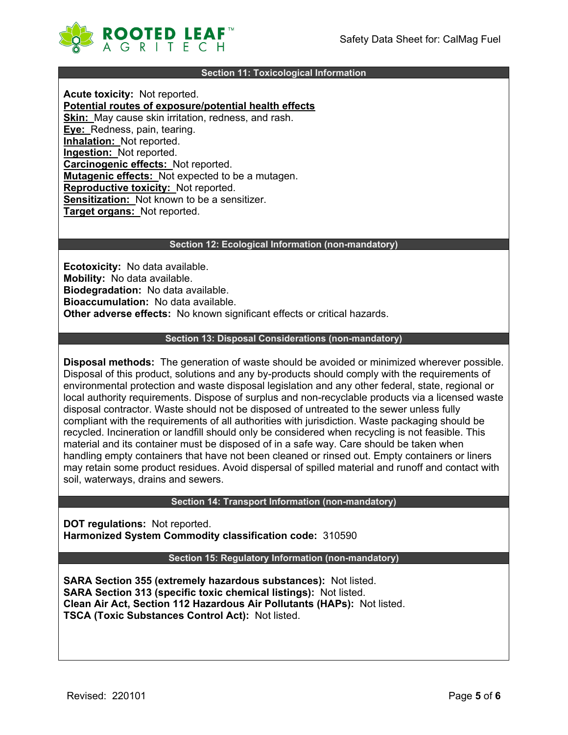

## **Section 11: Toxicological Information**

**Acute toxicity:** Not reported. **Potential routes of exposure/potential health effects Skin:** May cause skin irritation, redness, and rash. **Eye:** Redness, pain, tearing. **Inhalation:** Not reported. **Ingestion:** Not reported. **Carcinogenic effects:** Not reported. **Mutagenic effects:** Not expected to be a mutagen. **Reproductive toxicity:** Not reported. **Sensitization:** Not known to be a sensitizer. **Target organs:** Not reported.

#### **Section 12: Ecological Information (non-mandatory)**

**Ecotoxicity:** No data available. **Mobility:** No data available. **Biodegradation:** No data available. **Bioaccumulation:** No data available. **Other adverse effects:** No known significant effects or critical hazards.

#### **Section 13: Disposal Considerations (non-mandatory)**

**Disposal methods:** The generation of waste should be avoided or minimized wherever possible. Disposal of this product, solutions and any by-products should comply with the requirements of environmental protection and waste disposal legislation and any other federal, state, regional or local authority requirements. Dispose of surplus and non-recyclable products via a licensed waste disposal contractor. Waste should not be disposed of untreated to the sewer unless fully compliant with the requirements of all authorities with jurisdiction. Waste packaging should be recycled. Incineration or landfill should only be considered when recycling is not feasible. This material and its container must be disposed of in a safe way. Care should be taken when handling empty containers that have not been cleaned or rinsed out. Empty containers or liners may retain some product residues. Avoid dispersal of spilled material and runoff and contact with soil, waterways, drains and sewers.

## **Section 14: Transport Information (non-mandatory)**

**DOT regulations:** Not reported. **Harmonized System Commodity classification code:** 310590

## **Section 15: Regulatory Information (non-mandatory)**

**SARA Section 355 (extremely hazardous substances):** Not listed. **SARA Section 313 (specific toxic chemical listings):** Not listed. **Clean Air Act, Section 112 Hazardous Air Pollutants (HAPs):** Not listed. **TSCA (Toxic Substances Control Act):** Not listed.